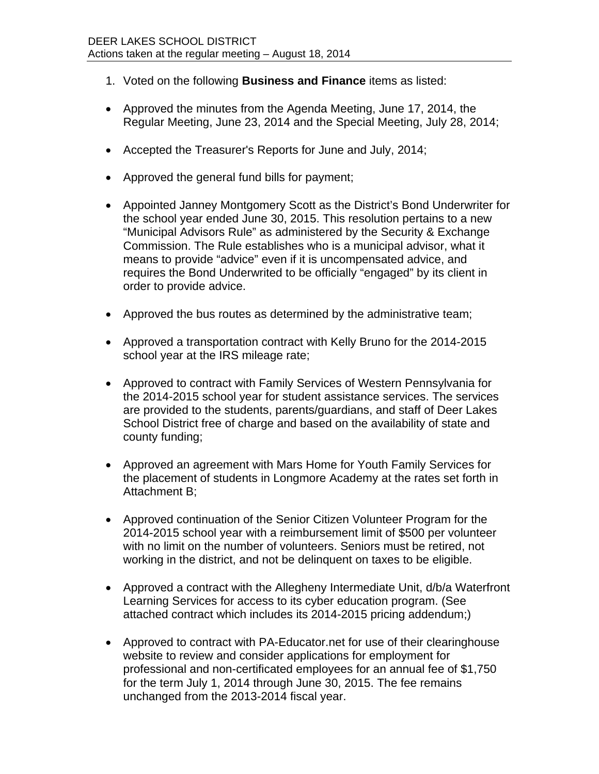- 1. Voted on the following **Business and Finance** items as listed:
- Approved the minutes from the Agenda Meeting, June 17, 2014, the Regular Meeting, June 23, 2014 and the Special Meeting, July 28, 2014;
- Accepted the Treasurer's Reports for June and July, 2014;
- Approved the general fund bills for payment:
- Appointed Janney Montgomery Scott as the District's Bond Underwriter for the school year ended June 30, 2015. This resolution pertains to a new "Municipal Advisors Rule" as administered by the Security & Exchange Commission. The Rule establishes who is a municipal advisor, what it means to provide "advice" even if it is uncompensated advice, and requires the Bond Underwrited to be officially "engaged" by its client in order to provide advice.
- Approved the bus routes as determined by the administrative team;
- Approved a transportation contract with Kelly Bruno for the 2014-2015 school year at the IRS mileage rate;
- Approved to contract with Family Services of Western Pennsylvania for the 2014-2015 school year for student assistance services. The services are provided to the students, parents/guardians, and staff of Deer Lakes School District free of charge and based on the availability of state and county funding;
- Approved an agreement with Mars Home for Youth Family Services for the placement of students in Longmore Academy at the rates set forth in Attachment B;
- Approved continuation of the Senior Citizen Volunteer Program for the 2014-2015 school year with a reimbursement limit of \$500 per volunteer with no limit on the number of volunteers. Seniors must be retired, not working in the district, and not be delinquent on taxes to be eligible.
- Approved a contract with the Allegheny Intermediate Unit, d/b/a Waterfront Learning Services for access to its cyber education program. (See attached contract which includes its 2014-2015 pricing addendum;)
- Approved to contract with PA-Educator.net for use of their clearinghouse website to review and consider applications for employment for professional and non-certificated employees for an annual fee of \$1,750 for the term July 1, 2014 through June 30, 2015. The fee remains unchanged from the 2013-2014 fiscal year.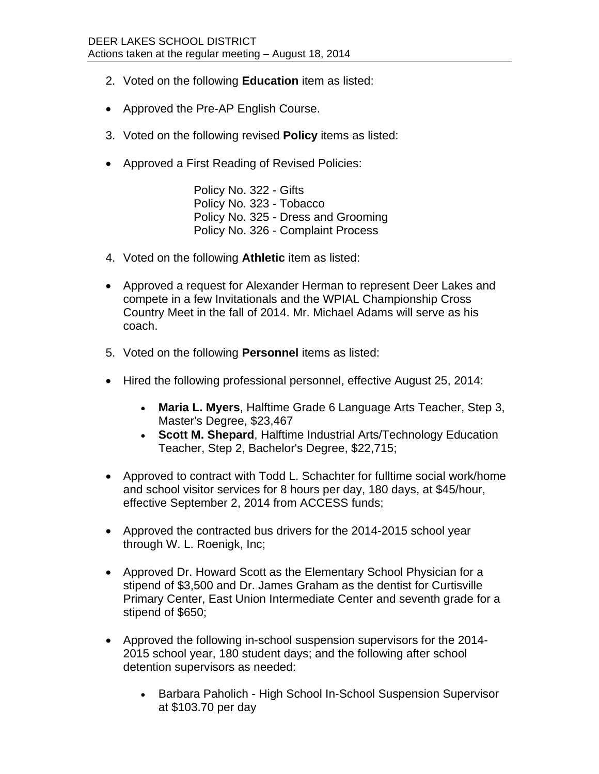- 2. Voted on the following **Education** item as listed:
- Approved the Pre-AP English Course.
- 3. Voted on the following revised **Policy** items as listed:
- Approved a First Reading of Revised Policies:

Policy No. 322 - Gifts Policy No. 323 - Tobacco Policy No. 325 - Dress and Grooming Policy No. 326 - Complaint Process

- 4. Voted on the following **Athletic** item as listed:
- Approved a request for Alexander Herman to represent Deer Lakes and compete in a few Invitationals and the WPIAL Championship Cross Country Meet in the fall of 2014. Mr. Michael Adams will serve as his coach.
- 5. Voted on the following **Personnel** items as listed:
- Hired the following professional personnel, effective August 25, 2014:
	- **Maria L. Myers**, Halftime Grade 6 Language Arts Teacher, Step 3, Master's Degree, \$23,467
	- **Scott M. Shepard**, Halftime Industrial Arts/Technology Education Teacher, Step 2, Bachelor's Degree, \$22,715;
- Approved to contract with Todd L. Schachter for fulltime social work/home and school visitor services for 8 hours per day, 180 days, at \$45/hour, effective September 2, 2014 from ACCESS funds;
- Approved the contracted bus drivers for the 2014-2015 school year through W. L. Roenigk, Inc;
- Approved Dr. Howard Scott as the Elementary School Physician for a stipend of \$3,500 and Dr. James Graham as the dentist for Curtisville Primary Center, East Union Intermediate Center and seventh grade for a stipend of \$650;
- Approved the following in-school suspension supervisors for the 2014- 2015 school year, 180 student days; and the following after school detention supervisors as needed:
	- Barbara Paholich High School In-School Suspension Supervisor at \$103.70 per day